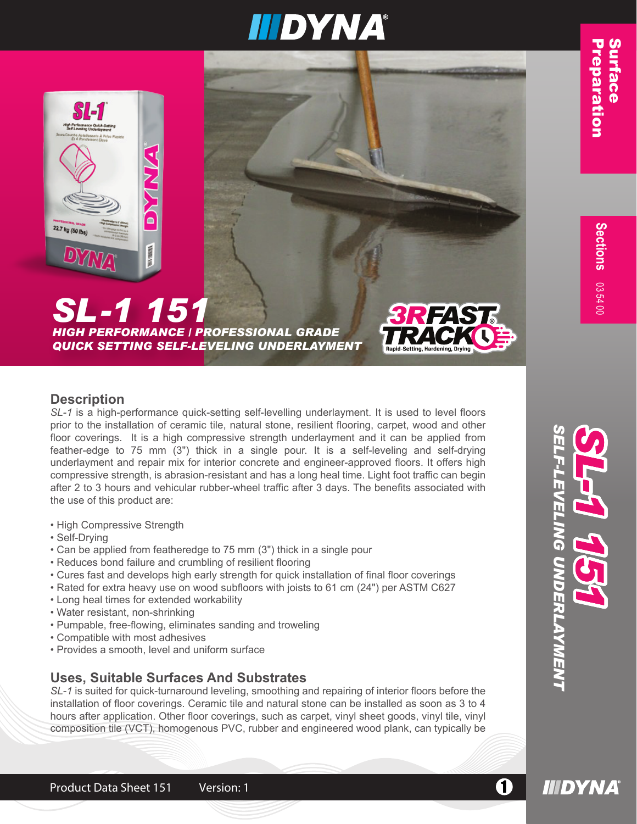*SELF-LEVELING UNDERLAYMENT*

Ц

*SL-1 151*

**IIIDYNA** 





# *SL-1 151*

*HIGH PERFORMANCE / PROFESSIONAL GRADE QUICK SETTING SELF-LEVELING UNDERLAYMENT*



## **Description**

*SL-1* is a high-performance quick-setting self-levelling underlayment. It is used to level floors prior to the installation of ceramic tile, natural stone, resilient flooring, carpet, wood and other floor coverings. It is a high compressive strength underlayment and it can be applied from feather-edge to 75 mm (3") thick in a single pour. It is a self-leveling and self-drying underlayment and repair mix for interior concrete and engineer-approved floors. It offers high compressive strength, is abrasion-resistant and has a long heal time. Light foot traffic can begin after 2 to 3 hours and vehicular rubber-wheel traffic after 3 days. The benefits associated with the use of this product are:

- High Compressive Strength
- Self-Drying
- Can be applied from featheredge to 75 mm (3") thick in a single pour
- Reduces bond failure and crumbling of resilient flooring
- Cures fast and develops high early strength for quick installation of final floor coverings
- Rated for extra heavy use on wood subfloors with joists to 61 cm (24") per ASTM C627
- Long heal times for extended workability
- Water resistant, non-shrinking
- Pumpable, free-flowing, eliminates sanding and troweling
- Compatible with most adhesives
- Provides a smooth, level and uniform surface

# **Uses, Suitable Surfaces And Substrates**

*SL-1* is suited for quick-turnaround leveling, smoothing and repairing of interior floors before the installation of floor coverings. Ceramic tile and natural stone can be installed as soon as 3 to 4 hours after application. Other floor coverings, such as carpet, vinyl sheet goods, vinyl tile, vinyl composition tile (VCT), homogenous PVC, rubber and engineered wood plank, can typically be

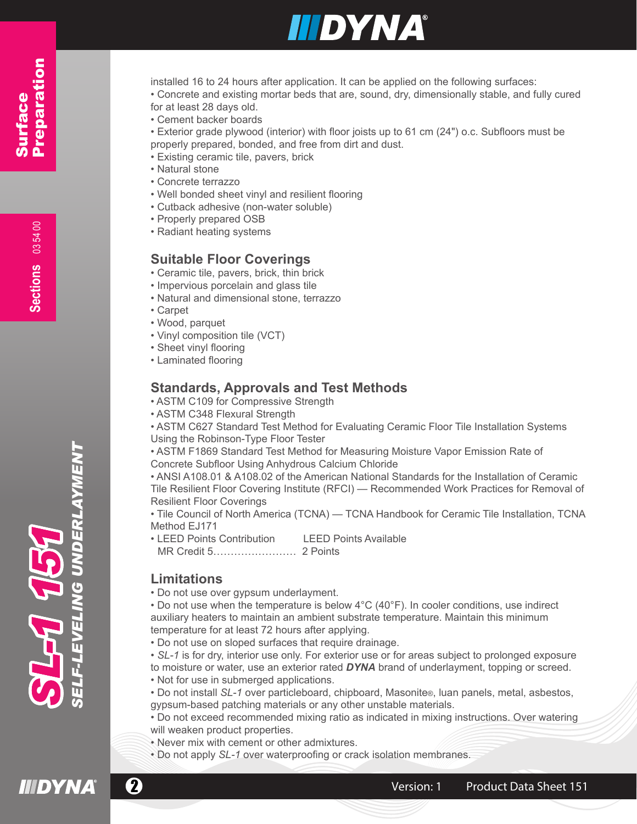

installed 16 to 24 hours after application. It can be applied on the following surfaces:

• Concrete and existing mortar beds that are, sound, dry, dimensionally stable, and fully cured for at least 28 days old.

• Cement backer boards

• Exterior grade plywood (interior) with floor joists up to 61 cm (24") o.c. Subfloors must be properly prepared, bonded, and free from dirt and dust.

- Existing ceramic tile, pavers, brick
- Natural stone
- Concrete terrazzo
- Well bonded sheet vinyl and resilient flooring
- Cutback adhesive (non-water soluble)
- Properly prepared OSB
- Radiant heating systems

## **Suitable Floor Coverings**

- Ceramic tile, pavers, brick, thin brick
- Impervious porcelain and glass tile
- Natural and dimensional stone, terrazzo
- Carpet
- Wood, parquet
- Vinyl composition tile (VCT)
- Sheet vinyl flooring
- Laminated flooring

# **Standards, Approvals and Test Methods**

- ASTM C109 for Compressive Strength
- ASTM C348 Flexural Strength

• ASTM C627 Standard Test Method for Evaluating Ceramic Floor Tile Installation Systems Using the Robinson-Type Floor Tester

• ASTM F1869 Standard Test Method for Measuring Moisture Vapor Emission Rate of Concrete Subfloor Using Anhydrous Calcium Chloride

• ANSI A108.01 & A108.02 of the American National Standards for the Installation of Ceramic Tile Resilient Floor Covering Institute (RFCI) — Recommended Work Practices for Removal of Resilient Floor Coverings

• Tile Council of North America (TCNA) — TCNA Handbook for Ceramic Tile Installation, TCNA Method EJ171

- LEED Points Contribution LEED Points Available
- MR Credit 5…………………… 2 Points

# **Limitations**

• Do not use over gypsum underlayment.

• Do not use when the temperature is below 4°C (40°F). In cooler conditions, use indirect auxiliary heaters to maintain an ambient substrate temperature. Maintain this minimum temperature for at least 72 hours after applying.

• Do not use on sloped surfaces that require drainage.

• *SL-1* is for dry, interior use only. For exterior use or for areas subject to prolonged exposure to moisture or water, use an exterior rated *DYNA* brand of underlayment, topping or screed.

- Not for use in submerged applications.
- Do not install *SL-1* over particleboard, chipboard, Masonite®, luan panels, metal, asbestos, gypsum-based patching materials or any other unstable materials.
- Do not exceed recommended mixing ratio as indicated in mixing instructions. Over watering will weaken product properties.
- Never mix with cement or other admixtures.
- Do not apply *SL-1* over waterproofing or crack isolation membranes.



50 P-

**Sections**

Surface

Surface

Preparation

Preparation



DERL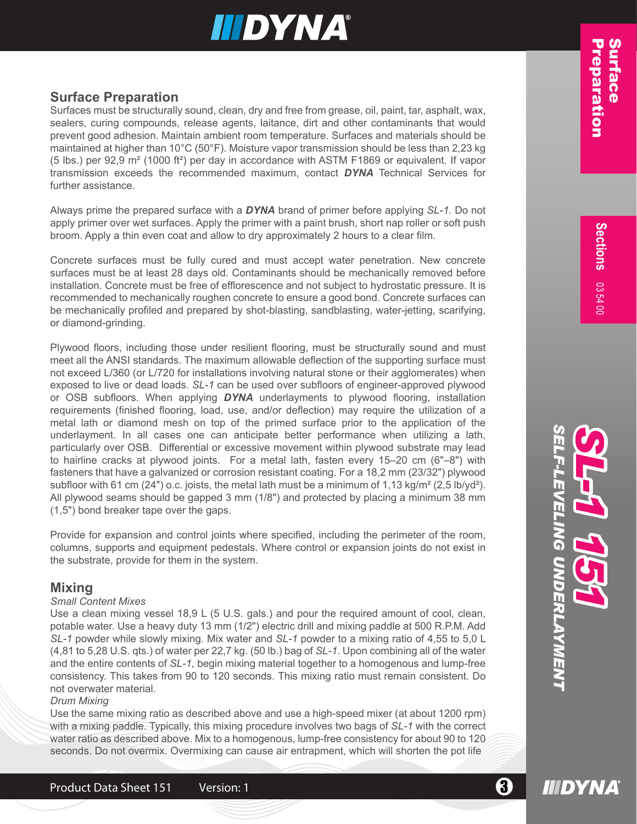Surfaces must be structurally sound, clean, dry and free from grease, oil, paint, tar, asphalt, wax, sealers, curing compounds, release agents, laitance, dirt and other contaminants that would prevent good adhesion. Maintain ambient room temperature. Surfaces and materials should be maintained at higher than 10°C (50°F). Moisture vapor transmission should be less than 2,23 kg (5 lbs.) per 92,9 m² (1000 ft²) per day in accordance with ASTM F1869 or equivalent. If vapor transmission exceeds the recommended maximum, contact *DYNA* Technical Services for further assistance.

Always prime the prepared surface with a *DYNA* brand of primer before applying *SL-1.* Do not apply primer over wet surfaces. Apply the primer with a paint brush, short nap roller or soft push broom. Apply a thin even coat and allow to dry approximately 2 hours to a clear film.

Concrete surfaces must be fully cured and must accept water penetration. New concrete surfaces must be at least 28 days old. Contaminants should be mechanically removed before installation. Concrete must be free of efflorescence and not subject to hydrostatic pressure. It is recommended to mechanically roughen concrete to ensure a good bond. Concrete surfaces can be mechanically profiled and prepared by shot-blasting, sandblasting, water-jetting, scarifying, or diamond-grinding.

**Surface Proparation**<br>
Surfaces must be structurally sound, clean, dry and free from gresse, oil, paint, tar, asphat, was,<br>existence must be structurally sound, cleane experts, taliance, of: tard of the conforminanties in Plywood floors, including those under resilient flooring, must be structurally sound and must meet all the ANSI standards. The maximum allowable deflection of the supporting surface must not exceed L/360 (or L/720 for installations involving natural stone or their agglomerates) when exposed to live or dead loads. *SL-1* can be used over subfloors of engineer-approved plywood or OSB subfloors. When applying *DYNA* underlayments to plywood flooring, installation requirements (finished flooring, load, use, and/or deflection) may require the utilization of a metal lath or diamond mesh on top of the primed surface prior to the application of the underlayment. In all cases one can anticipate better performance when utilizing a lath, particularly over OSB. Differential or excessive movement within plywood substrate may lead to hairline cracks at plywood joints. For a metal lath, fasten every 15–20 cm (6"–8") with fasteners that have a galvanized or corrosion resistant coating. For a 18,2 mm (23/32") plywood subfloor with 61 cm (24") o.c. joists, the metal lath must be a minimum of  $1,13$  kg/m<sup>2</sup> (2,5 lb/yd<sup>2</sup>). All plywood seams should be gapped 3 mm (1/8") and protected by placing a minimum 38 mm (1,5") bond breaker tape over the gaps.

Provide for expansion and control joints where specified, including the perimeter of the room, columns, supports and equipment pedestals. Where control or expansion joints do not exist in the substrate, provide for them in the system.

# **Mixing**

## *Small Content Mixes*

Use a clean mixing vessel 18,9 L (5 U.S. gals.) and pour the required amount of cool, clean, potable water. Use a heavy duty 13 mm (1/2") electric drill and mixing paddle at 500 R.P.M. Add *SL-1* powder while slowly mixing. Mix water and *SL-1* powder to a mixing ratio of 4,55 to 5,0 L (4,81 to 5,28 U.S. qts.) of water per 22,7 kg. (50 lb.) bag of *SL-1*. Upon combining all of the water and the entire contents of *SL-1,* begin mixing material together to a homogenous and lump-free consistency. This takes from 90 to 120 seconds. This mixing ratio must remain consistent. Do not overwater material.

## *Drum Mixing*

Use the same mixing ratio as described above and use a high-speed mixer (at about 1200 rpm) with a mixing paddle. Typically, this mixing procedure involves two bags of *SL-1* with the correct water ratio as described above. Mix to a homogenous, lump-free consistency for about 90 to 120 seconds. Do not overmix. Overmixing can cause air entrapment, which will shorten the pot life

**IIIDYNA** 

03 54 00

**S e ctions**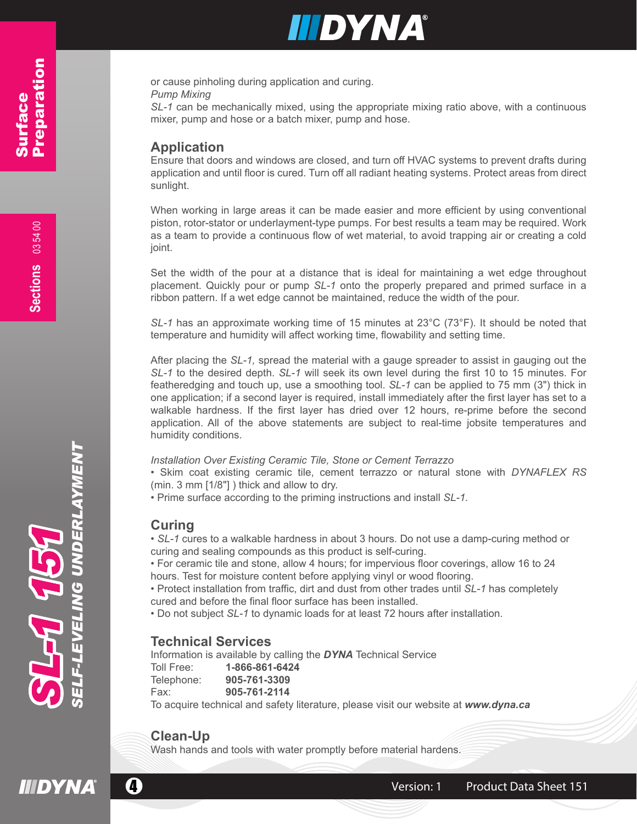or cause pinholing during application and curing.

*Pump Mixing* 

*SL-1* can be mechanically mixed, using the appropriate mixing ratio above, with a continuous mixer, pump and hose or a batch mixer, pump and hose.

# **Application**

Ensure that doors and windows are closed, and turn off HVAC systems to prevent drafts during application and until floor is cured. Turn off all radiant heating systems. Protect areas from direct sunlight.

When working in large areas it can be made easier and more efficient by using conventional piston, rotor-stator or underlayment-type pumps. For best results a team may be required. Work as a team to provide a continuous flow of wet material, to avoid trapping air or creating a cold joint.

Set the width of the pour at a distance that is ideal for maintaining a wet edge throughout placement. Quickly pour or pump *SL-1* onto the properly prepared and primed surface in a ribbon pattern. If a wet edge cannot be maintained, reduce the width of the pour.

*SL-1* has an approximate working time of 15 minutes at 23°C (73°F). It should be noted that temperature and humidity will affect working time, flowability and setting time.

After placing the *SL-1,* spread the material with a gauge spreader to assist in gauging out the *SL-1* to the desired depth. *SL-1* will seek its own level during the first 10 to 15 minutes. For featheredging and touch up, use a smoothing tool. *SL-1* can be applied to 75 mm (3") thick in one application; if a second layer is required, install immediately after the first layer has set to a walkable hardness. If the first layer has dried over 12 hours, re-prime before the second application. All of the above statements are subject to real-time jobsite temperatures and humidity conditions.

### *Installation Over Existing Ceramic Tile, Stone or Cement Terrazzo*

• Skim coat existing ceramic tile, cement terrazzo or natural stone with *DYNAFLEX RS* (min. 3 mm [1/8"] ) thick and allow to dry.

• Prime surface according to the priming instructions and install *SL-1.*

# **Curing**

• *SL-1* cures to a walkable hardness in about 3 hours. Do not use a damp-curing method or curing and sealing compounds as this product is self-curing.

• For ceramic tile and stone, allow 4 hours; for impervious floor coverings, allow 16 to 24 hours. Test for moisture content before applying vinyl or wood flooring.

• Protect installation from traffic, dirt and dust from other trades until *SL-1* has completely cured and before the final floor surface has been installed.

• Do not subject *SL-1* to dynamic loads for at least 72 hours after installation.

# **Technical Services**

Information is available by calling the *DYNA* Technical Service Toll Free: **1-866-861-6424** Telephone: **905-761-3309** Fax: **905-761-2114** To acquire technical and safety literature, please visit our website at *www.dyna.ca*

# **Clean-Up**

Wash hands and tools with water promptly before material hardens.

*SELF-LEVELING UNDERLAYMENT*

EVELING UN

DERLAYMENT

*SL-1 151*

**CA AS**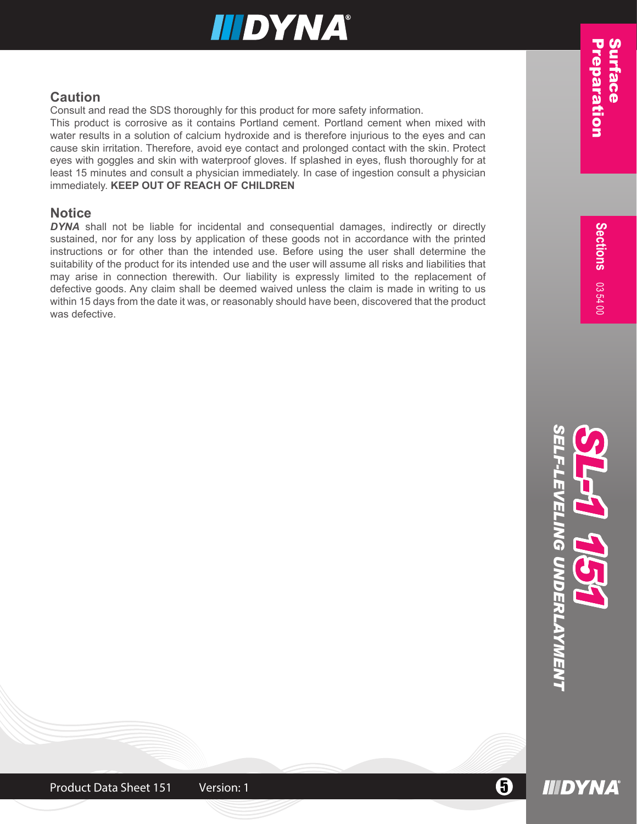# **Caution**

Consult and read the SDS thoroughly for this product for more safety information.

This product is corrosive as it contains Portland cement. Portland cement when mixed with water results in a solution of calcium hydroxide and is therefore injurious to the eyes and can cause skin irritation. Therefore, avoid eye contact and prolonged contact with the skin. Protect eyes with goggles and skin with waterproof gloves. If splashed in eyes, flush thoroughly for at least 15 minutes and consult a physician immediately. In case of ingestion consult a physician immediately. **KEEP OUT OF REACH OF CHILDREN**

# **Notice**

**DYNA** shall not be liable for incidental and consequential damages, indirectly or directly sustained, nor for any loss by application of these goods not in accordance with the printed instructions or for other than the intended use. Before using the user shall determine the suitability of the product for its intended use and the user will assume all risks and liabilities that may arise in connection therewith. Our liability is expressly limited to the replacement of defective goods. Any claim shall be deemed waived unless the claim is made in writing to us within 15 days from the date it was, or reasonably should have been, discovered that the product was defective.



**IIIDYNA** 

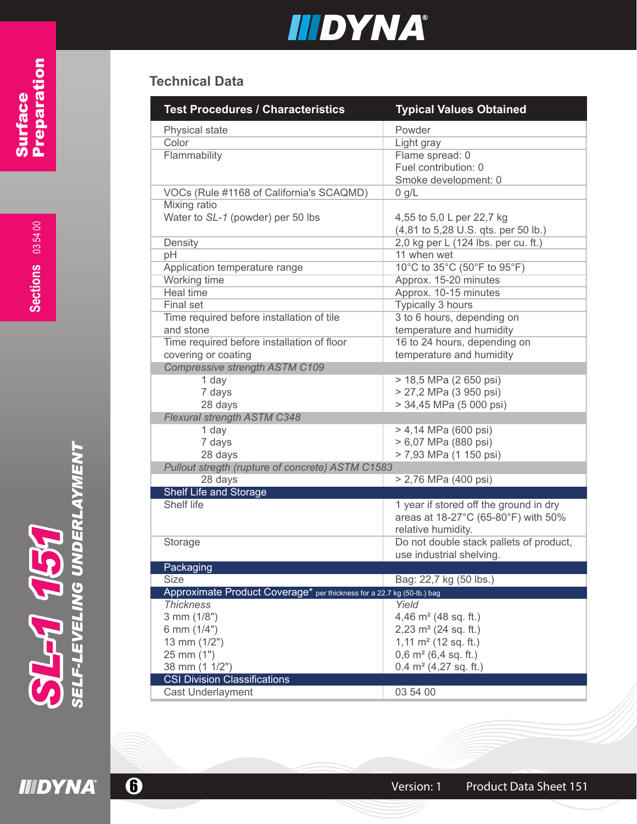# **Technical Data**

| <b>Test Procedures / Characteristics</b>                               | <b>Typical Values Obtained</b>          |
|------------------------------------------------------------------------|-----------------------------------------|
| Physical state                                                         | Powder                                  |
| Color                                                                  | Light gray                              |
| Flammability                                                           | Flame spread: 0                         |
|                                                                        | Fuel contribution: 0                    |
|                                                                        | Smoke development: 0                    |
| VOCs (Rule #1168 of California's SCAQMD)                               | 0 g/L                                   |
| Mixing ratio                                                           |                                         |
| Water to SL-1 (powder) per 50 lbs                                      | 4,55 to 5,0 L per 22,7 kg               |
|                                                                        | (4,81 to 5,28 U.S. qts. per 50 lb.)     |
| Density                                                                | 2,0 kg per L (124 lbs. per cu. ft.)     |
| pH                                                                     | 11 when wet                             |
| Application temperature range                                          | 10°C to 35°C (50°F to 95°F)             |
| Working time                                                           | Approx. 15-20 minutes                   |
| <b>Heal time</b>                                                       | Approx. 10-15 minutes                   |
| <b>Final set</b>                                                       | <b>Typically 3 hours</b>                |
| Time required before installation of tile                              | 3 to 6 hours, depending on              |
| and stone                                                              | temperature and humidity                |
| Time required before installation of floor                             | 16 to 24 hours, depending on            |
| covering or coating                                                    | temperature and humidity                |
| <b>Compressive strength ASTM C109</b>                                  |                                         |
| 1 day                                                                  | > 18,5 MPa (2 650 psi)                  |
| 7 days                                                                 | > 27,2 MPa (3 950 psi)                  |
| 28 days                                                                | > 34,45 MPa (5 000 psi)                 |
| <b>Flexural strength ASTM C348</b>                                     |                                         |
| 1 day                                                                  | > 4,14 MPa (600 psi)                    |
| 7 days                                                                 | > 6,07 MPa (880 psi)                    |
| 28 days                                                                | > 7,93 MPa (1 150 psi)                  |
| Pullout stregth (rupture of concrete) ASTM C1583<br>28 days            | > 2,76 MPa (400 psi)                    |
| Shelf Life and Storage                                                 |                                         |
| Shelf life                                                             | 1 year if stored off the ground in dry  |
|                                                                        | areas at 18-27°C (65-80°F) with 50%     |
|                                                                        | relative humidity.                      |
| Storage                                                                | Do not double stack pallets of product, |
|                                                                        | use industrial shelving.                |
| Packaging                                                              |                                         |
| <b>Size</b>                                                            | Bag: 22,7 kg (50 lbs.)                  |
| Approximate Product Coverage* per thickness for a 22.7 kg (50-lb.) bag |                                         |
| <b>Thickness</b>                                                       | Yield                                   |
| 3 mm (1/8")                                                            | 4,46 $m2$ (48 sq. ft.)                  |
| 6 mm (1/4")                                                            | 2,23 $m2$ (24 sq. ft.)                  |
| 13 mm (1/2")                                                           | 1,11 $m2$ (12 sq. ft.)                  |
| 25 mm (1")                                                             | $0,6$ m <sup>2</sup> (6,4 sq. ft.)      |
| 38 mm (1 1/2")                                                         | $0.4$ m <sup>2</sup> (4,27 sq. ft.)     |
| <b>CSI Division Classifications</b>                                    |                                         |
| <b>Cast Underlayment</b>                                               | 03 54 00                                |

**6** Version: 1 Product Data Sheet 151